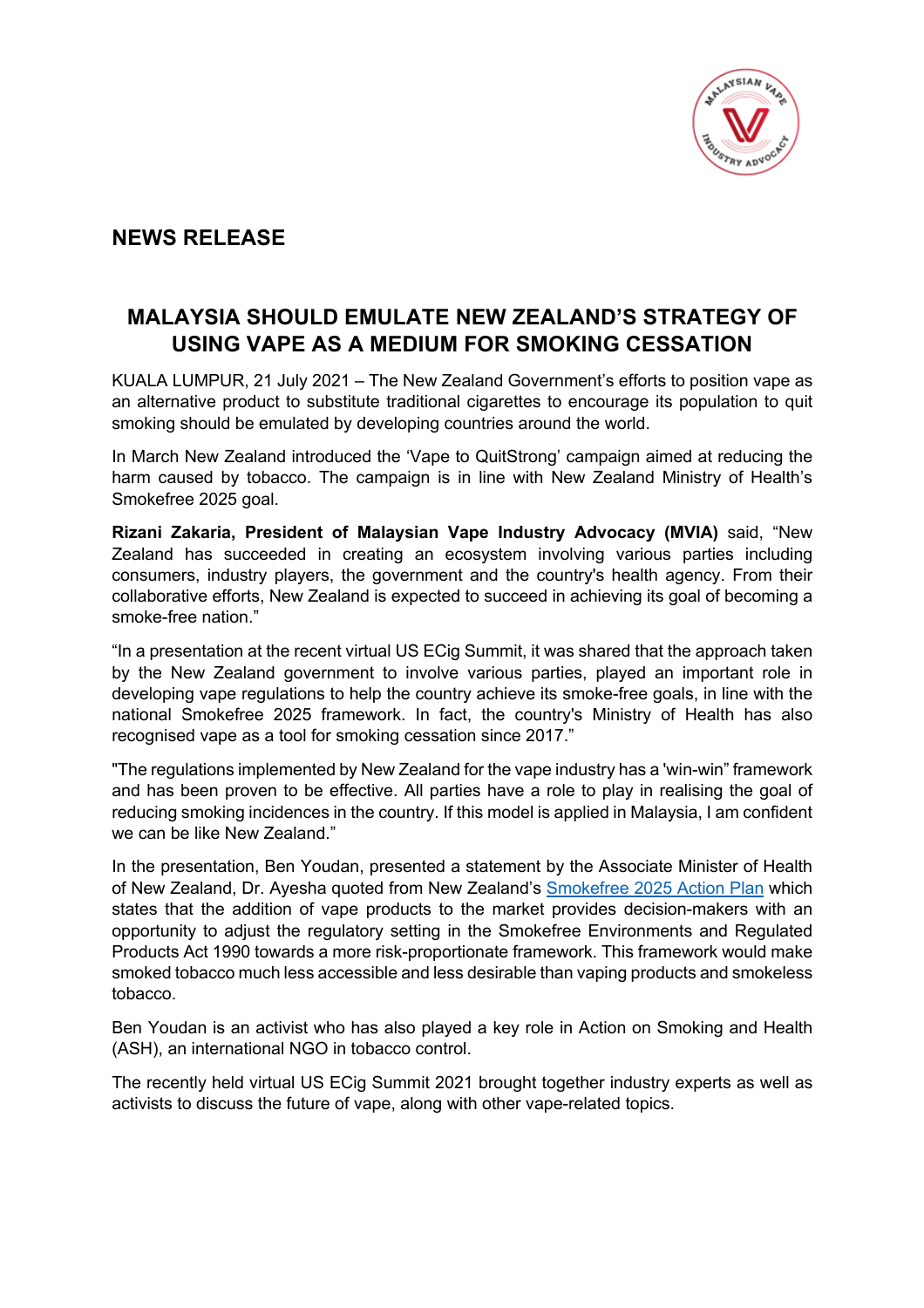

## **NEWS RELEASE**

## **MALAYSIA SHOULD EMULATE NEW ZEALAND'S STRATEGY OF USING VAPE AS A MEDIUM FOR SMOKING CESSATION**

KUALA LUMPUR, 21 July 2021 – The New Zealand Government's efforts to position vape as an alternative product to substitute traditional cigarettes to encourage its population to quit smoking should be emulated by developing countries around the world.

In March New Zealand introduced the 'Vape to QuitStrong' campaign aimed at reducing the harm caused by tobacco. The campaign is in line with New Zealand Ministry of Health's Smokefree 2025 goal.

**Rizani Zakaria, President of Malaysian Vape Industry Advocacy (MVIA)** said, "New Zealand has succeeded in creating an ecosystem involving various parties including consumers, industry players, the government and the country's health agency. From their collaborative efforts, New Zealand is expected to succeed in achieving its goal of becoming a smoke-free nation."

"In a presentation at the recent virtual US ECig Summit, it was shared that the approach taken by the New Zealand government to involve various parties, played an important role in developing vape regulations to help the country achieve its smoke-free goals, in line with the national Smokefree 2025 framework. In fact, the country's Ministry of Health has also recognised vape as a tool for smoking cessation since 2017."

"The regulations implemented by New Zealand for the vape industry has a 'win-win" framework and has been proven to be effective. All parties have a role to play in realising the goal of reducing smoking incidences in the country. If this model is applied in Malaysia, I am confident we can be like New Zealand."

In the presentation, Ben Youdan, presented a statement by the Associate Minister of Health of New Zealand, Dr. Ayesha quoted from New Zealand's Smokefree 2025 Action Plan which states that the addition of vape products to the market provides decision-makers with an opportunity to adjust the regulatory setting in the Smokefree Environments and Regulated Products Act 1990 towards a more risk-proportionate framework. This framework would make smoked tobacco much less accessible and less desirable than vaping products and smokeless tobacco.

Ben Youdan is an activist who has also played a key role in Action on Smoking and Health (ASH), an international NGO in tobacco control.

The recently held virtual US ECig Summit 2021 brought together industry experts as well as activists to discuss the future of vape, along with other vape-related topics.